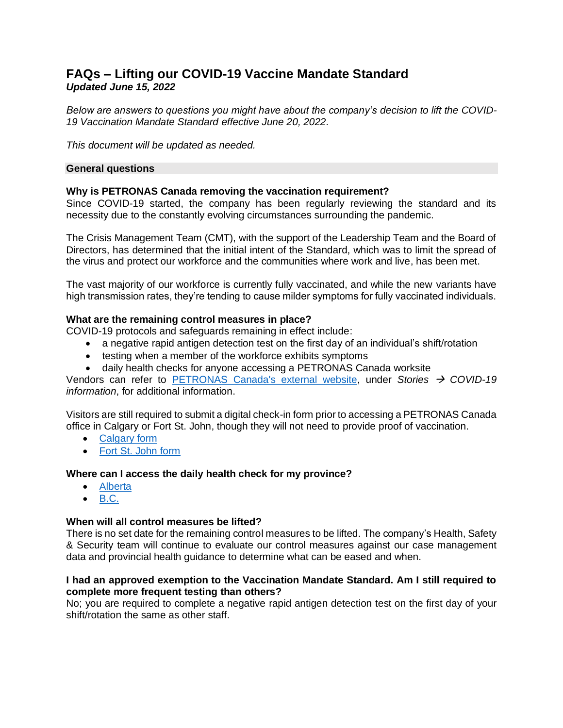# **FAQs – Lifting our COVID-19 Vaccine Mandate Standard** *Updated June 15, 2022*

*Below are answers to questions you might have about the company's decision to lift the COVID-19 Vaccination Mandate Standard effective June 20, 2022.* 

*This document will be updated as needed.*

## **General questions**

## **Why is PETRONAS Canada removing the vaccination requirement?**

Since COVID-19 started, the company has been regularly reviewing the standard and its necessity due to the constantly evolving circumstances surrounding the pandemic.

The Crisis Management Team (CMT), with the support of the Leadership Team and the Board of Directors, has determined that the initial intent of the Standard, which was to limit the spread of the virus and protect our workforce and the communities where work and live, has been met.

The vast majority of our workforce is currently fully vaccinated, and while the new variants have high transmission rates, they're tending to cause milder symptoms for fully vaccinated individuals.

## **What are the remaining control measures in place?**

COVID-19 protocols and safeguards remaining in effect include:

- a negative rapid antigen detection test on the first day of an individual's shift/rotation
- testing when a member of the workforce exhibits symptoms
- daily health checks for anyone accessing a PETRONAS Canada worksite

Vendors can refer to [PETRONAS Canada's external website,](https://www.petronascanada.com/) under *Stories* → *COVID-19 information*, for additional information.

Visitors are still required to submit a digital check-in form prior to accessing a PETRONAS Canada office in Calgary or Fort St. John, though they will not need to provide proof of vaccination.

- [Calgary form](https://app.prontoforms.com/form/OD6FRUWCI6HKBUIUPJOXEMJFVBITEMNA5FZVQEHG53EKJMTW2Z56KCAEZYVAE3ZL)
- [Fort St. John form](https://app.prontoforms.com/form/QWI75ZTLF2XIP2PAK4RGUEUZQXYASVGZ6QSIAL2VNCV4EHOLZADX3IJVYY6UN3UT)

## **Where can I access the daily health check for my province?**

- [Alberta](https://open.alberta.ca/publications/covid-19-information-alberta-health-daily-checklist)
- [B.C.](https://bc.thrive.health/covid19/en)

## **When will all control measures be lifted?**

There is no set date for the remaining control measures to be lifted. The company's Health, Safety & Security team will continue to evaluate our control measures against our case management data and provincial health guidance to determine what can be eased and when.

## **I had an approved exemption to the Vaccination Mandate Standard. Am I still required to complete more frequent testing than others?**

No; you are required to complete a negative rapid antigen detection test on the first day of your shift/rotation the same as other staff.